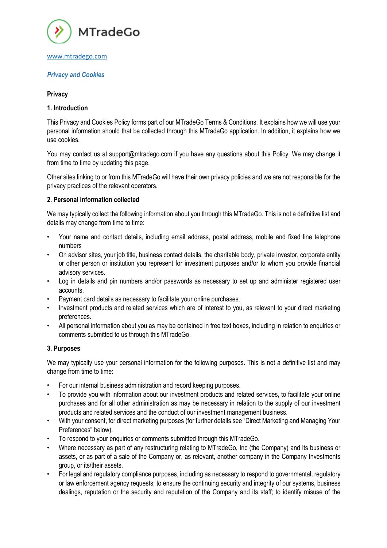

# *Privacy and Cookies*

### **Privacy**

### **1. Introduction**

This Privacy and Cookies Policy forms part of our MTradeGo Terms & Conditions. It explains how we will use your personal information should that be collected through this MTradeGo application. In addition, it explains how we use cookies.

You may contact us at support@mtradego.com if you have any questions about this Policy. We may change it from time to time by updating this page.

Other sites linking to or from this MTradeGo will have their own privacy policies and we are not responsible for the privacy practices of the relevant operators.

### **2. Personal information collected**

We may typically collect the following information about you through this MTradeGo. This is not a definitive list and details may change from time to time:

- Your name and contact details, including email address, postal address, mobile and fixed line telephone numbers
- On advisor sites, your job title, business contact details, the charitable body, private investor, corporate entity or other person or institution you represent for investment purposes and/or to whom you provide financial advisory services.
- Log in details and pin numbers and/or passwords as necessary to set up and administer registered user accounts.
- Payment card details as necessary to facilitate your online purchases.
- Investment products and related services which are of interest to you, as relevant to your direct marketing preferences.
- All personal information about you as may be contained in free text boxes, including in relation to enquiries or comments submitted to us through this MTradeGo.

# **3. Purposes**

We may typically use your personal information for the following purposes. This is not a definitive list and may change from time to time:

- For our internal business administration and record keeping purposes.
- To provide you with information about our investment products and related services, to facilitate your online purchases and for all other administration as may be necessary in relation to the supply of our investment products and related services and the conduct of our investment management business.
- With your consent, for direct marketing purposes (for further details see "Direct Marketing and Managing Your Preferences" below).
- To respond to your enquiries or comments submitted through this MTradeGo.
- Where necessary as part of any restructuring relating to MTradeGo, Inc (the Company) and its business or assets, or as part of a sale of the Company or, as relevant, another company in the Company Investments group, or its/their assets.
- For legal and regulatory compliance purposes, including as necessary to respond to governmental, regulatory or law enforcement agency requests; to ensure the continuing security and integrity of our systems, business dealings, reputation or the security and reputation of the Company and its staff; to identify misuse of the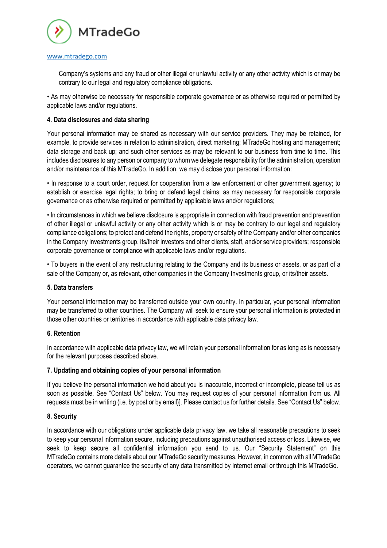

Company's systems and any fraud or other illegal or unlawful activity or any other activity which is or may be contrary to our legal and regulatory compliance obligations.

• As may otherwise be necessary for responsible corporate governance or as otherwise required or permitted by applicable laws and/or regulations.

### **4. Data disclosures and data sharing**

Your personal information may be shared as necessary with our service providers. They may be retained, for example, to provide services in relation to administration, direct marketing; MTradeGo hosting and management; data storage and back up; and such other services as may be relevant to our business from time to time. This includes disclosures to any person or company to whom we delegate responsibility for the administration, operation and/or maintenance of this MTradeGo. In addition, we may disclose your personal information:

• In response to a court order, request for cooperation from a law enforcement or other government agency; to establish or exercise legal rights; to bring or defend legal claims; as may necessary for responsible corporate governance or as otherwise required or permitted by applicable laws and/or regulations;

• In circumstances in which we believe disclosure is appropriate in connection with fraud prevention and prevention of other illegal or unlawful activity or any other activity which is or may be contrary to our legal and regulatory compliance obligations; to protect and defend the rights, property or safety of the Company and/or other companies in the Company Investments group, its/their investors and other clients, staff, and/or service providers; responsible corporate governance or compliance with applicable laws and/or regulations.

• To buyers in the event of any restructuring relating to the Company and its business or assets, or as part of a sale of the Company or, as relevant, other companies in the Company Investments group, or its/their assets.

### **5. Data transfers**

Your personal information may be transferred outside your own country. In particular, your personal information may be transferred to other countries. The Company will seek to ensure your personal information is protected in those other countries or territories in accordance with applicable data privacy law.

### **6. Retention**

In accordance with applicable data privacy law, we will retain your personal information for as long as is necessary for the relevant purposes described above.

### **7. Updating and obtaining copies of your personal information**

If you believe the personal information we hold about you is inaccurate, incorrect or incomplete, please tell us as soon as possible. See "Contact Us" below. You may request copies of your personal information from us. All requests must be in writing (i.e. by post or by email)]. Please contact us for further details. See "Contact Us" below.

### **8. Security**

In accordance with our obligations under applicable data privacy law, we take all reasonable precautions to seek to keep your personal information secure, including precautions against unauthorised access or loss. Likewise, we seek to keep secure all confidential information you send to us. Our "Security Statement" on this MTradeGo contains more details about our MTradeGo security measures. However, in common with all MTradeGo operators, we cannot guarantee the security of any data transmitted by Internet email or through this MTradeGo.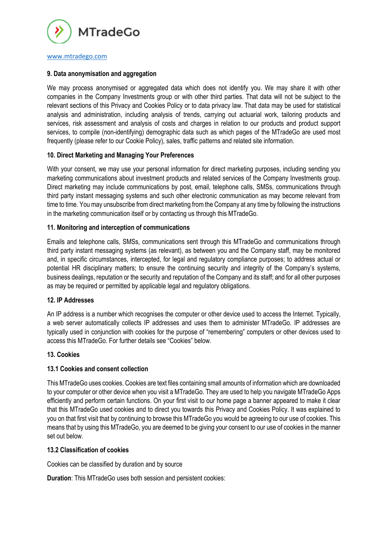

### **9. Data anonymisation and aggregation**

We may process anonymised or aggregated data which does not identify you. We may share it with other companies in the Company Investments group or with other third parties. That data will not be subject to the relevant sections of this Privacy and Cookies Policy or to data privacy law. That data may be used for statistical analysis and administration, including analysis of trends, carrying out actuarial work, tailoring products and services, risk assessment and analysis of costs and charges in relation to our products and product support services, to compile (non-identifying) demographic data such as which pages of the MTradeGo are used most frequently (please refer to our Cookie Policy), sales, traffic patterns and related site information.

### **10. Direct Marketing and Managing Your Preferences**

With your consent, we may use your personal information for direct marketing purposes, including sending you marketing communications about investment products and related services of the Company Investments group. Direct marketing may include communications by post, email, telephone calls, SMSs, communications through third party instant messaging systems and such other electronic communication as may become relevant from time to time. You may unsubscribe from direct marketing from the Company at any time by following the instructions in the marketing communication itself or by contacting us through this MTradeGo.

### **11. Monitoring and interception of communications**

Emails and telephone calls, SMSs, communications sent through this MTradeGo and communications through third party instant messaging systems (as relevant), as between you and the Company staff, may be monitored and, in specific circumstances, intercepted, for legal and regulatory compliance purposes; to address actual or potential HR disciplinary matters; to ensure the continuing security and integrity of the Company's systems, business dealings, reputation or the security and reputation of the Company and its staff; and for all other purposes as may be required or permitted by applicable legal and regulatory obligations.

### **12. IP Addresses**

An IP address is a number which recognises the computer or other device used to access the Internet. Typically, a web server automatically collects IP addresses and uses them to administer MTradeGo. IP addresses are typically used in conjunction with cookies for the purpose of "remembering" computers or other devices used to access this MTradeGo. For further details see "Cookies" below.

### **13. Cookies**

# **13.1 Cookies and consent collection**

This MTradeGo uses cookies. Cookies are text files containing small amounts of information which are downloaded to your computer or other device when you visit a MTradeGo. They are used to help you navigate MTradeGo Apps efficiently and perform certain functions. On your first visit to our home page a banner appeared to make it clear that this MTradeGo used cookies and to direct you towards this Privacy and Cookies Policy. It was explained to you on that first visit that by continuing to browse this MTradeGo you would be agreeing to our use of cookies. This means that by using this MTradeGo, you are deemed to be giving your consent to our use of cookies in the manner set out below.

### **13.2 Classification of cookies**

Cookies can be classified by duration and by source

**Duration**: This MTradeGo uses both session and persistent cookies: